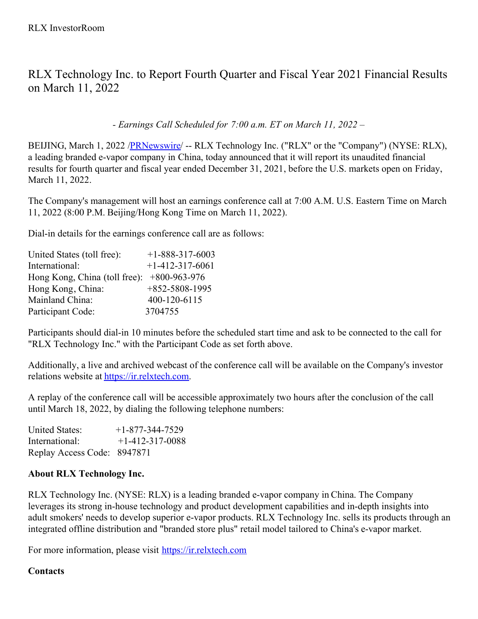RLX Technology Inc. to Report Fourth Quarter and Fiscal Year 2021 Financial Results on March 11, 2022

*- Earnings Call Scheduled for 7:00 a.m. ET on March 11, 2022 –*

BEIJING, March 1, 2022 /[PRNewswire](http://www.prnewswire.com/)/ -- RLX Technology Inc. ("RLX" or the "Company") (NYSE: RLX), a leading branded e-vapor company in China, today announced that it will report its unaudited financial results for fourth quarter and fiscal year ended December 31, 2021, before the U.S. markets open on Friday, March 11, 2022.

The Company's management will host an earnings conference call at 7:00 A.M. U.S. Eastern Time on March 11, 2022 (8:00 P.M. Beijing/Hong Kong Time on March 11, 2022).

Dial-in details for the earnings conference call are as follows:

| United States (toll free):    | $+1 - 888 - 317 - 6003$ |
|-------------------------------|-------------------------|
| International:                | $+1-412-317-6061$       |
| Hong Kong, China (toll free): | $+800 - 963 - 976$      |
| Hong Kong, China:             | $+852 - 5808 - 1995$    |
| Mainland China:               | 400-120-6115            |
| Participant Code:             | 3704755                 |

Participants should dial-in 10 minutes before the scheduled start time and ask to be connected to the call for "RLX Technology Inc." with the Participant Code as set forth above.

Additionally, a live and archived webcast of the conference call will be available on the Company's investor relations website at [https://ir.relxtech.com](https://ir.relxtech.com/).

A replay of the conference call will be accessible approximately two hours after the conclusion of the call until March 18, 2022, by dialing the following telephone numbers:

United States:  $+1-877-344-7529$ International: +1-412-317-0088 Replay Access Code: 8947871

## **About RLX Technology Inc.**

RLX Technology Inc. (NYSE: RLX) is a leading branded e-vapor company in China. The Company leverages its strong in-house technology and product development capabilities and in-depth insights into adult smokers' needs to develop superior e-vapor products. RLX Technology Inc. sells its products through an integrated offline distribution and "branded store plus" retail model tailored to China's e-vapor market.

For more information, please visit [https://ir.relxtech.com](https://ir.relxtech.com/)

## **Contacts**